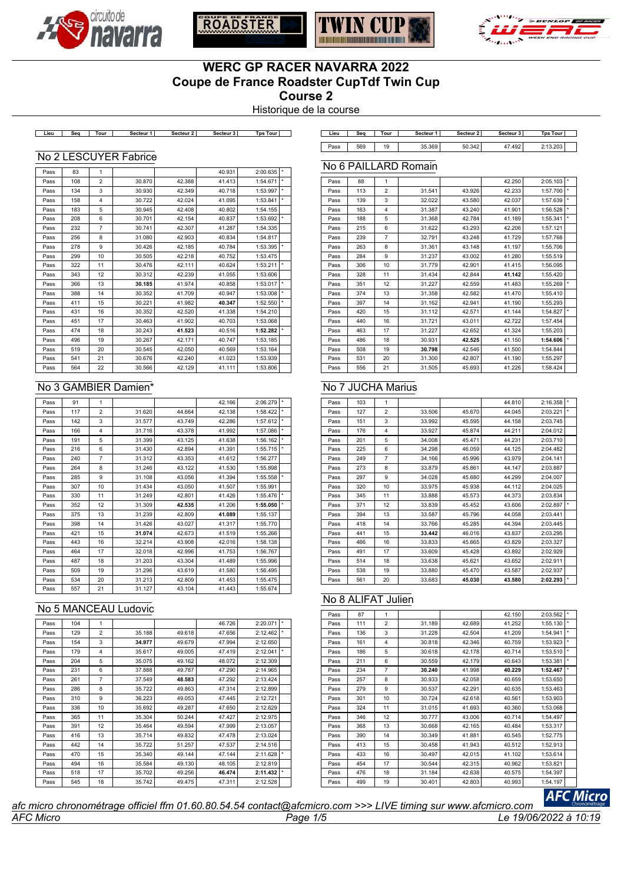





No 6 PAILLARD Romain



# **WERC GP RACER NAVARRA 2022 Coupe de France Roadster CupTdf Twin Cup Course 2**

Historique de la course

**Lieu Seq Tour Secteur 1 Secteur 2 Secteur 3 Tps Tour Lieu Seq Tour Secteur 1 Secteur 2 Secteur 3 Tps Tour**

| ∟ieu        | Sea | Tour | Secteur 1 | Secteur 2 | Secteur 3 | Tps:<br>Tour |  |
|-------------|-----|------|-----------|-----------|-----------|--------------|--|
| $\circ$ ass | 569 | 19   | .369      | 342       | .492      | 2. 13.203    |  |

#### No 2 LESCUYER Fabrice

| Pass | 83  | 1              |        |        | 40.931 | 2:00.635 | $\star$ |
|------|-----|----------------|--------|--------|--------|----------|---------|
| Pass | 108 | $\overline{2}$ | 30.870 | 42.388 | 41.413 | 1:54.671 | $\star$ |
| Pass | 134 | 3              | 30.930 | 42.349 | 40.718 | 1:53.997 | *       |
| Pass | 158 | $\overline{4}$ | 30.722 | 42.024 | 41.095 | 1:53.841 | *       |
| Pass | 183 | 5              | 30.945 | 42.408 | 40.802 | 1:54.155 |         |
| Pass | 208 | 6              | 30.701 | 42.154 | 40.837 | 1:53.692 | $\star$ |
| Pass | 232 | $\overline{7}$ | 30.741 | 42.307 | 41.287 | 1:54.335 |         |
| Pass | 256 | 8              | 31.080 | 42.903 | 40.834 | 1:54.817 |         |
| Pass | 278 | 9              | 30.426 | 42.185 | 40.784 | 1:53.395 |         |
| Pass | 299 | 10             | 30.505 | 42.218 | 40.752 | 1:53.475 |         |
| Pass | 322 | 11             | 30.476 | 42.111 | 40.624 | 1:53.211 | $\star$ |
| Pass | 343 | 12             | 30.312 | 42.239 | 41.055 | 1:53.606 |         |
| Pass | 366 | 13             | 30.185 | 41.974 | 40.858 | 1:53.017 | $\star$ |
| Pass | 388 | 14             | 30.352 | 41.709 | 40.947 | 1:53.008 | $\star$ |
| Pass | 411 | 15             | 30.221 | 41.982 | 40.347 | 1:52.550 |         |
| Pass | 431 | 16             | 30.352 | 42.520 | 41.338 | 1:54.210 |         |
| Pass | 451 | 17             | 30.463 | 41.902 | 40.703 | 1:53.068 |         |
| Pass | 474 | 18             | 30.243 | 41.523 | 40.516 | 1:52.282 | *       |
| Pass | 496 | 19             | 30.267 | 42.171 | 40.747 | 1:53.185 |         |
| Pass | 519 | 20             | 30.545 | 42.050 | 40.569 | 1:53.164 |         |
| Pass | 541 | 21             | 30.676 | 42.240 | 41.023 | 1:53.939 |         |
| Pass | 564 | 22             | 30.566 | 42.129 | 41.111 | 1:53.806 |         |

### No 3 GAMBIER Damien\*

| Pass | 91  | 1              |        |        | 42.166 | 2:06.279 | $\star$ |
|------|-----|----------------|--------|--------|--------|----------|---------|
| Pass | 117 | $\overline{2}$ | 31.620 | 44.664 | 42.138 | 1:58.422 | *       |
| Pass | 142 | 3              | 31.577 | 43.749 | 42.286 | 1:57.612 | $\star$ |
| Pass | 166 | 4              | 31.716 | 43.378 | 41.992 | 1:57.086 | $\star$ |
| Pass | 191 | 5              | 31.399 | 43.125 | 41.638 | 1:56.162 | $\star$ |
| Pass | 216 | 6              | 31.430 | 42.894 | 41.391 | 1:55.715 | $\star$ |
| Pass | 240 | $\overline{7}$ | 31.312 | 43.353 | 41.612 | 1:56.277 |         |
| Pass | 264 | 8              | 31.246 | 43.122 | 41.530 | 1:55.898 |         |
| Pass | 285 | 9              | 31.108 | 43.056 | 41.394 | 1:55.558 | $\star$ |
| Pass | 307 | 10             | 31.434 | 43.050 | 41.507 | 1:55.991 |         |
| Pass | 330 | 11             | 31.249 | 42.801 | 41.426 | 1:55.476 | $\star$ |
| Pass | 352 | 12             | 31.309 | 42.535 | 41.206 | 1:55.050 | $\star$ |
| Pass | 375 | 13             | 31.239 | 42.809 | 41.089 | 1:55.137 |         |
| Pass | 398 | 14             | 31.426 | 43.027 | 41.317 | 1:55.770 |         |
| Pass | 421 | 15             | 31.074 | 42.673 | 41.519 | 1:55.266 |         |
| Pass | 443 | 16             | 32.214 | 43.908 | 42.016 | 1:58.138 |         |
| Pass | 464 | 17             | 32.018 | 42.996 | 41.753 | 1:56.767 |         |
| Pass | 487 | 18             | 31.203 | 43.304 | 41.489 | 1:55.996 |         |
| Pass | 509 | 19             | 31.296 | 43.619 | 41.580 | 1:56.495 |         |
| Pass | 534 | 20             | 31.213 | 42.809 | 41.453 | 1:55.475 |         |
| Pass | 557 | 21             | 31.127 | 43.104 | 41.443 | 1:55.674 |         |

### No 5 MANCEAU Ludovic

| Pass | 104 | 1              |        |        | 46.726 | 2:20.071 |            |
|------|-----|----------------|--------|--------|--------|----------|------------|
| Pass | 129 | $\overline{2}$ | 35.188 | 49.618 | 47.656 | 2:12.462 | $\star$    |
| Pass | 154 | 3              | 34.977 | 49.679 | 47.994 | 2:12.650 |            |
| Pass | 179 | 4              | 35.617 | 49.005 | 47.419 | 2:12.041 | $^{\star}$ |
| Pass | 204 | 5              | 35.075 | 49.162 | 48.072 | 2:12.309 |            |
| Pass | 231 | 6              | 37.888 | 49.787 | 47.290 | 2:14.965 |            |
| Pass | 261 | 7              | 37.549 | 48.583 | 47.292 | 2:13.424 |            |
| Pass | 286 | 8              | 35.722 | 49.863 | 47.314 | 2:12.899 |            |
| Pass | 310 | 9              | 36.223 | 49.053 | 47.445 | 2:12.721 |            |
| Pass | 336 | 10             | 35.692 | 49.287 | 47.650 | 2:12.629 |            |
| Pass | 365 | 11             | 35.304 | 50.244 | 47.427 | 2:12.975 |            |
| Pass | 391 | 12             | 35.464 | 49.594 | 47.999 | 2:13.057 |            |
| Pass | 416 | 13             | 35.714 | 49.832 | 47.478 | 2:13.024 |            |
| Pass | 442 | 14             | 35.722 | 51.257 | 47.537 | 2:14.516 |            |
| Pass | 470 | 15             | 35.340 | 49.144 | 47.144 | 2:11.628 | $\star$    |
| Pass | 494 | 16             | 35.584 | 49.130 | 48.105 | 2:12.819 |            |
| Pass | 518 | 17             | 35.702 | 49.256 | 46.474 | 2:11.432 | $\star$    |
| Pass | 545 | 18             | 35.742 | 49.475 | 47.311 | 2:12.528 |            |

| Pass | 88  | $\mathbf{1}$   |        |        | 42.250 | 2:05.103 | $\star$ |
|------|-----|----------------|--------|--------|--------|----------|---------|
| Pass | 113 | $\overline{2}$ | 31.541 | 43.926 | 42.233 | 1:57.700 | ×.      |
| Pass | 139 | 3              | 32.022 | 43.580 | 42.037 | 1:57.639 | ÷       |
| Pass | 163 | 4              | 31.387 | 43.240 | 41.901 | 1:56.528 | $\star$ |
| Pass | 188 | 5              | 31.368 | 42.784 | 41.189 | 1:55.341 | ÷       |
| Pass | 215 | 6              | 31.622 | 43.293 | 42.206 | 1:57.121 |         |
| Pass | 239 | $\overline{7}$ | 32.791 | 43.248 | 41.729 | 1:57.768 |         |
| Pass | 263 | 8              | 31.361 | 43.148 | 41.197 | 1:55.706 |         |
| Pass | 284 | 9              | 31.237 | 43.002 | 41.280 | 1:55.519 |         |
| Pass | 306 | 10             | 31.779 | 42.901 | 41.415 | 1:56.095 |         |
| Pass | 328 | 11             | 31.434 | 42.844 | 41.142 | 1:55.420 |         |
| Pass | 351 | 12             | 31.227 | 42.559 | 41.483 | 1:55.269 | ×.      |
| Pass | 374 | 13             | 31.358 | 42.582 | 41.470 | 1:55.410 |         |
| Pass | 397 | 14             | 31.162 | 42.941 | 41.190 | 1:55.293 |         |
| Pass | 420 | 15             | 31.112 | 42.571 | 41.144 | 1:54.827 | $\star$ |
| Pass | 440 | 16             | 31.721 | 43.011 | 42.722 | 1:57.454 |         |
| Pass | 463 | 17             | 31.227 | 42.652 | 41.324 | 1:55.203 |         |
| Pass | 486 | 18             | 30.931 | 42.525 | 41.150 | 1:54.606 | ÷       |
| Pass | 508 | 19             | 30.798 | 42.546 | 41.500 | 1:54.844 |         |
| Pass | 531 | 20             | 31.300 | 42.807 | 41.190 | 1:55.297 |         |
| Pass | 556 | 21             | 31.505 | 45.693 | 41.226 | 1:58.424 |         |

## No 7 JUCHA Marius

| Pass | 103 | 1              |        |        | 44.810 | 2:16.358 |         |
|------|-----|----------------|--------|--------|--------|----------|---------|
| Pass | 127 | $\overline{2}$ | 33.506 | 45.670 | 44.045 | 2:03.221 | $\star$ |
| Pass | 151 | 3              | 33.992 | 45.595 | 44.158 | 2:03.745 |         |
| Pass | 176 | $\overline{4}$ | 33.927 | 45.874 | 44.211 | 2:04.012 |         |
| Pass | 201 | 5              | 34.008 | 45.471 | 44.231 | 2:03.710 |         |
| Pass | 225 | 6              | 34.298 | 46.059 | 44.125 | 2:04.482 |         |
| Pass | 249 | $\overline{7}$ | 34.166 | 45.996 | 43.979 | 2:04.141 |         |
| Pass | 273 | 8              | 33.879 | 45.861 | 44.147 | 2:03.887 |         |
| Pass | 297 | 9              | 34.028 | 45.680 | 44.299 | 2:04.007 |         |
| Pass | 320 | 10             | 33.975 | 45.938 | 44.112 | 2:04.025 |         |
| Pass | 345 | 11             | 33.888 | 45.573 | 44.373 | 2:03.834 |         |
| Pass | 371 | 12             | 33.839 | 45.452 | 43.606 | 2:02.897 | ÷.      |
| Pass | 394 | 13             | 33.587 | 45.796 | 44.058 | 2:03.441 |         |
| Pass | 418 | 14             | 33.766 | 45.285 | 44.394 | 2:03.445 |         |
| Pass | 441 | 15             | 33.442 | 46.016 | 43.837 | 2:03.295 |         |
| Pass | 466 | 16             | 33.833 | 45.665 | 43.829 | 2:03.327 |         |
| Pass | 491 | 17             | 33.609 | 45.428 | 43.892 | 2:02.929 |         |
| Pass | 514 | 18             | 33.638 | 45.621 | 43.652 | 2:02.911 |         |
| Pass | 538 | 19             | 33.880 | 45.470 | 43.587 | 2:02.937 |         |
| Pass | 561 | 20             | 33.683 | 45.030 | 43.580 | 2:02.293 | ×       |

### No 8 ALIFAT Julien

| Pass | 87  | 1              |        |        | 42.150 | 2:03.562 | $\star$ |
|------|-----|----------------|--------|--------|--------|----------|---------|
| Pass | 111 | $\overline{2}$ | 31.189 | 42.689 | 41.252 | 1:55.130 | ×       |
| Pass | 136 | 3              | 31.228 | 42.504 | 41.209 | 1:54.941 | ÷       |
| Pass | 161 | 4              | 30.818 | 42.346 | 40.759 | 1:53.923 | ÷       |
| Pass | 186 | 5              | 30.618 | 42.178 | 40.714 | 1:53.510 | ÷       |
| Pass | 211 | 6              | 30.559 | 42.179 | 40.643 | 1:53.381 | ÷       |
| Pass | 234 | $\overline{7}$ | 30.240 | 41.998 | 40.229 | 1:52.467 | ×       |
| Pass | 257 | 8              | 30.933 | 42.058 | 40.659 | 1:53.650 |         |
| Pass | 279 | 9              | 30.537 | 42.291 | 40.635 | 1:53.463 |         |
| Pass | 301 | 10             | 30.724 | 42.618 | 40.561 | 1:53.903 |         |
| Pass | 324 | 11             | 31.015 | 41.693 | 40.360 | 1:53.068 |         |
| Pass | 346 | 12             | 30.777 | 43.006 | 40.714 | 1:54.497 |         |
| Pass | 368 | 13             | 30.668 | 42.165 | 40.484 | 1:53.317 |         |
| Pass | 390 | 14             | 30.349 | 41.881 | 40.545 | 1:52.775 |         |
| Pass | 413 | 15             | 30.458 | 41.943 | 40.512 | 1:52.913 |         |
| Pass | 433 | 16             | 30.497 | 42.015 | 41.102 | 1:53.614 |         |
| Pass | 454 | 17             | 30.544 | 42.315 | 40.962 | 1:53.821 |         |
| Pass | 476 | 18             | 31.184 | 42.638 | 40.575 | 1:54.397 |         |
| Pass | 499 | 19             | 30.401 | 42.803 | 40.993 | 1:54.197 |         |
|      |     |                |        |        |        |          |         |

*AFC Micro Page 1/5 Le 19/06/2022 à 10:19 afc micro chronométrage officiel ffm 01.60.80.54.54 contact@afcmicro.com >>> LIVE timing sur www.afcmicro.com*

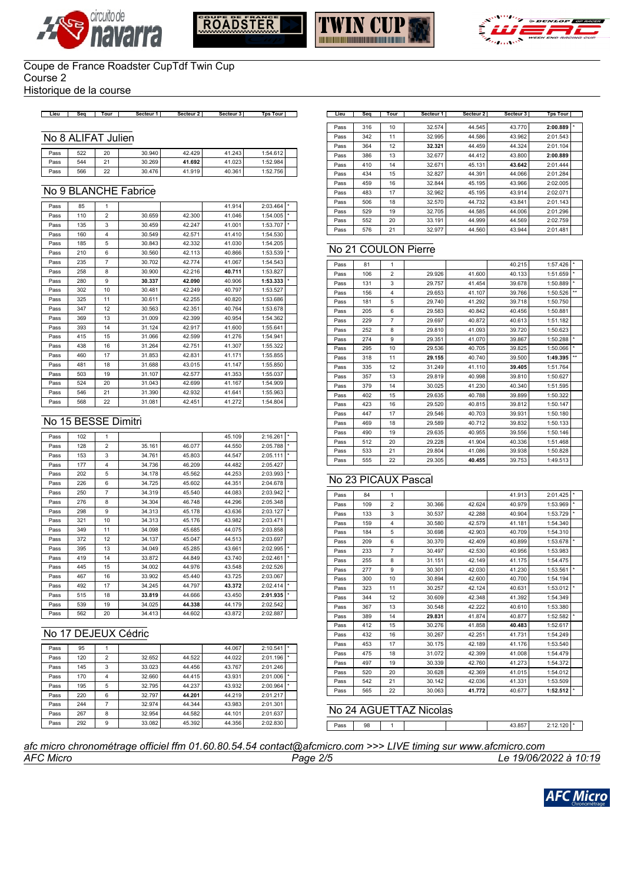







Historique de la course

#### **Lieu Seq Tour Secteur 1 Secteur 2 Secteur 3 Tps Tour Lieu Seq Tour Secteur 1 Secteur 2 Secteur 3 Tps Tour**

#### No 8 ALIFAT Julien

| Pass | 522 | 20 | 30.940 | 42.429 | 41.243 | 1:54.612 |  |
|------|-----|----|--------|--------|--------|----------|--|
| Pass | 544 | 21 | 30.269 | 41.692 | 41.023 | 1:52.984 |  |
| Pass | 566 | 22 | 30.476 | 41.919 | 40.361 | 1:52.756 |  |

## No 9 BLANCHE Fabrice

| Pass | 85  | $\mathbf{1}$   |        |        | 41.914 | 2:03.464 |         |
|------|-----|----------------|--------|--------|--------|----------|---------|
| Pass | 110 | $\overline{2}$ | 30.659 | 42.300 | 41.046 | 1:54.005 | *       |
| Pass | 135 | 3              | 30.459 | 42.247 | 41.001 | 1:53.707 | $\star$ |
| Pass | 160 | $\overline{4}$ | 30.549 | 42.571 | 41.410 | 1:54.530 |         |
| Pass | 185 | 5              | 30.843 | 42.332 | 41.030 | 1:54.205 |         |
| Pass | 210 | 6              | 30.560 | 42.113 | 40.866 | 1:53.539 | $\star$ |
| Pass | 235 | $\overline{7}$ | 30.702 | 42.774 | 41.067 | 1:54.543 |         |
| Pass | 258 | 8              | 30.900 | 42.216 | 40.711 | 1:53.827 |         |
| Pass | 280 | 9              | 30.337 | 42.090 | 40.906 | 1:53.333 |         |
| Pass | 302 | 10             | 30.481 | 42.249 | 40.797 | 1:53.527 |         |
| Pass | 325 | 11             | 30.611 | 42.255 | 40.820 | 1:53.686 |         |
| Pass | 347 | 12             | 30.563 | 42.351 | 40.764 | 1:53.678 |         |
| Pass | 369 | 13             | 31,009 | 42.399 | 40.954 | 1:54.362 |         |
| Pass | 393 | 14             | 31.124 | 42.917 | 41.600 | 1:55.641 |         |
| Pass | 415 | 15             | 31.066 | 42.599 | 41.276 | 1:54.941 |         |
| Pass | 438 | 16             | 31.264 | 42.751 | 41.307 | 1:55.322 |         |
| Pass | 460 | 17             | 31.853 | 42.831 | 41.171 | 1:55.855 |         |
| Pass | 481 | 18             | 31.688 | 43.015 | 41.147 | 1:55.850 |         |
| Pass | 503 | 19             | 31.107 | 42.577 | 41.353 | 1:55.037 |         |
| Pass | 524 | 20             | 31.043 | 42.699 | 41.167 | 1:54.909 |         |
| Pass | 546 | 21             | 31.390 | 42.932 | 41.641 | 1:55.963 |         |
| Pass | 568 | 22             | 31.081 | 42.451 | 41.272 | 1:54.804 |         |

#### No 15 BESSE Dimitri

| Pass | 102 | 1              |        |        | 45.109 | 2:16.261 | $\star$ |
|------|-----|----------------|--------|--------|--------|----------|---------|
| Pass | 128 | $\overline{2}$ | 35.161 | 46.077 | 44.550 | 2:05.788 | $\star$ |
| Pass | 153 | 3              | 34.761 | 45.803 | 44.547 | 2:05.111 | $\star$ |
| Pass | 177 | $\overline{4}$ | 34.736 | 46.209 | 44.482 | 2:05.427 |         |
| Pass | 202 | 5              | 34.178 | 45.562 | 44.253 | 2:03.993 | $\star$ |
| Pass | 226 | 6              | 34.725 | 45.602 | 44.351 | 2:04.678 |         |
| Pass | 250 | $\overline{7}$ | 34.319 | 45.540 | 44.083 | 2:03.942 | $\star$ |
| Pass | 276 | 8              | 34.304 | 46.748 | 44.296 | 2:05.348 |         |
| Pass | 298 | 9              | 34.313 | 45.178 | 43.636 | 2:03.127 | $\star$ |
| Pass | 321 | 10             | 34.313 | 45.176 | 43.982 | 2:03.471 |         |
| Pass | 349 | 11             | 34.098 | 45.685 | 44.075 | 2:03.858 |         |
| Pass | 372 | 12             | 34.137 | 45.047 | 44.513 | 2:03.697 |         |
| Pass | 395 | 13             | 34.049 | 45.285 | 43.661 | 2:02.995 | $\star$ |
| Pass | 419 | 14             | 33.872 | 44.849 | 43.740 | 2:02.461 | $\star$ |
| Pass | 445 | 15             | 34.002 | 44.976 | 43.548 | 2:02.526 |         |
| Pass | 467 | 16             | 33.902 | 45.440 | 43.725 | 2:03.067 |         |
| Pass | 492 | 17             | 34.245 | 44.797 | 43.372 | 2:02.414 | $\star$ |
| Pass | 515 | 18             | 33.819 | 44.666 | 43.450 | 2:01.935 |         |
| Pass | 539 | 19             | 34.025 | 44.338 | 44.179 | 2:02.542 |         |
| Pass | 562 | 20             | 34.413 | 44.602 | 43.872 | 2:02.887 |         |

### No 17 DEJEUX Cédric

| Pass | 95  |                |        |        | 44.067 | 2:10.541 |         |
|------|-----|----------------|--------|--------|--------|----------|---------|
| Pass | 120 | $\overline{2}$ | 32.652 | 44.522 | 44.022 | 2:01.196 | ۰       |
| Pass | 145 | 3              | 33.023 | 44.456 | 43.767 | 2:01.246 |         |
| Pass | 170 | 4              | 32.660 | 44.415 | 43.931 | 2:01.006 | $\star$ |
| Pass | 195 | 5              | 32.795 | 44.237 | 43.932 | 2:00.964 | $\star$ |
| Pass | 220 | 6              | 32.797 | 44.201 | 44.219 | 2:01.217 |         |
| Pass | 244 |                | 32.974 | 44.344 | 43.983 | 2:01.301 |         |
| Pass | 267 | 8              | 32.954 | 44.582 | 44.101 | 2:01.637 |         |
| Pass | 292 | 9              | 33.082 | 45.392 | 44.356 | 2:02.830 |         |

| Lieu | Seq | Tour | Secteur <sub>1</sub> | Secteur <sub>2</sub> | Secteur 3 | <b>Tps Tour</b> |  |
|------|-----|------|----------------------|----------------------|-----------|-----------------|--|
| Pass | 316 | 10   | 32.574               | 44.545               | 43.770    | 2:00.889        |  |
|      |     |      |                      |                      |           |                 |  |
| Pass | 342 | 11   | 32.995               | 44.586               | 43.962    | 2:01.543        |  |
| Pass | 364 | 12   | 32.321               | 44.459               | 44.324    | 2:01.104        |  |
| Pass | 386 | 13   | 32.677               | 44.412               | 43.800    | 2:00.889        |  |
| Pass | 410 | 14   | 32.671               | 45.131               | 43.642    | 2:01.444        |  |
| Pass | 434 | 15   | 32.827               | 44.391               | 44.066    | 2:01.284        |  |
| Pass | 459 | 16   | 32.844               | 45.195               | 43.966    | 2:02.005        |  |
| Pass | 483 | 17   | 32.962               | 45.195               | 43.914    | 2:02.071        |  |
| Pass | 506 | 18   | 32.570               | 44.732               | 43.841    | 2:01.143        |  |
| Pass | 529 | 19   | 32.705               | 44.585               | 44.006    | 2:01.296        |  |
| Pass | 552 | 20   | 33.191               | 44.999               | 44.569    | 2:02.759        |  |
| Pass | 576 | 21   | 32.977               | 44.560               | 43.944    | 2:01.481        |  |

## No 21 COULON Pierre

| Pass | 81  | 1              |        |        | 40.215 | 1:57.426 | ×            |
|------|-----|----------------|--------|--------|--------|----------|--------------|
| Pass | 106 | $\overline{2}$ | 29.926 | 41.600 | 40.133 | 1:51.659 | ÷            |
| Pass | 131 | 3              | 29.757 | 41.454 | 39.678 | 1:50.889 | ÷.           |
| Pass | 156 | 4              | 29.653 | 41.107 | 39.766 | 1:50.526 | $\star\star$ |
| Pass | 181 | 5              | 29.740 | 41.292 | 39.718 | 1:50.750 |              |
| Pass | 205 | 6              | 29.583 | 40.842 | 40.456 | 1:50.881 |              |
| Pass | 229 | $\overline{7}$ | 29.697 | 40.872 | 40.613 | 1:51.182 |              |
| Pass | 252 | 8              | 29.810 | 41.093 | 39.720 | 1:50.623 |              |
| Pass | 274 | 9              | 29.351 | 41.070 | 39.867 | 1:50.288 | ×            |
| Pass | 295 | 10             | 29.536 | 40.705 | 39.825 | 1:50.066 | ÷            |
| Pass | 318 | 11             | 29.155 | 40.740 | 39.500 | 1:49.395 | $\star\star$ |
| Pass | 335 | 12             | 31.249 | 41.110 | 39.405 | 1:51.764 |              |
| Pass | 357 | 13             | 29.819 | 40.998 | 39.810 | 1:50.627 |              |
| Pass | 379 | 14             | 30.025 | 41.230 | 40.340 | 1:51.595 |              |
| Pass | 402 | 15             | 29.635 | 40.788 | 39.899 | 1:50.322 |              |
| Pass | 423 | 16             | 29.520 | 40.815 | 39.812 | 1:50.147 |              |
| Pass | 447 | 17             | 29.546 | 40.703 | 39.931 | 1:50.180 |              |
| Pass | 469 | 18             | 29.589 | 40.712 | 39.832 | 1:50.133 |              |
| Pass | 490 | 19             | 29.635 | 40.955 | 39.556 | 1:50.146 |              |
| Pass | 512 | 20             | 29.228 | 41.904 | 40.336 | 1:51.468 |              |
| Pass | 533 | 21             | 29.804 | 41.086 | 39.938 | 1:50.828 |              |
| Pass | 555 | 22             | 29.305 | 40.455 | 39.753 | 1:49.513 |              |

#### No 23 PICAUX Pascal

| Pass | 84  | 1              |        |        | 41.913 | 2:01.425 | ×       |
|------|-----|----------------|--------|--------|--------|----------|---------|
| Pass | 109 | $\overline{2}$ | 30.366 | 42.624 | 40.979 | 1:53.969 | ÷.      |
| Pass | 133 | 3              | 30.537 | 42.288 | 40.904 | 1:53.729 | $\star$ |
| Pass | 159 | 4              | 30.580 | 42.579 | 41.181 | 1:54.340 |         |
| Pass | 184 | 5              | 30.698 | 42.903 | 40.709 | 1:54.310 |         |
| Pass | 209 | 6              | 30.370 | 42.409 | 40.899 | 1:53.678 | $\star$ |
| Pass | 233 | $\overline{7}$ | 30.497 | 42.530 | 40.956 | 1:53.983 |         |
| Pass | 255 | 8              | 31.151 | 42.149 | 41.175 | 1:54.475 |         |
| Pass | 277 | 9              | 30.301 | 42.030 | 41.230 | 1:53.561 | ÷.      |
| Pass | 300 | 10             | 30.894 | 42.600 | 40.700 | 1:54.194 |         |
| Pass | 323 | 11             | 30.257 | 42.124 | 40.631 | 1:53.012 | $\star$ |
| Pass | 344 | 12             | 30.609 | 42.348 | 41.392 | 1:54.349 |         |
| Pass | 367 | 13             | 30.548 | 42.222 | 40.610 | 1:53.380 |         |
| Pass | 389 | 14             | 29.831 | 41.874 | 40.877 | 1:52.582 | ÷       |
| Pass | 412 | 15             | 30.276 | 41.858 | 40.483 | 1:52.617 |         |
| Pass | 432 | 16             | 30.267 | 42.251 | 41.731 | 1:54.249 |         |
| Pass | 453 | 17             | 30.175 | 42.189 | 41.176 | 1:53.540 |         |
| Pass | 475 | 18             | 31.072 | 42.399 | 41.008 | 1:54.479 |         |
| Pass | 497 | 19             | 30.339 | 42.760 | 41.273 | 1:54.372 |         |
| Pass | 520 | 20             | 30.628 | 42.369 | 41.015 | 1:54.012 |         |
| Pass | 542 | 21             | 30.142 | 42.036 | 41.331 | 1:53.509 |         |
| Pass | 565 | 22             | 30.063 | 41.772 | 40.677 | 1:52.512 | ×       |

Pass 98 1 1 43.857 2:12.120 \*

### No 24 AGUETTAZ Nicolas

## *AFC Micro Page 2/5 Le 19/06/2022 à 10:19 afc micro chronométrage officiel ffm 01.60.80.54.54 contact@afcmicro.com >>> LIVE timing sur www.afcmicro.com*

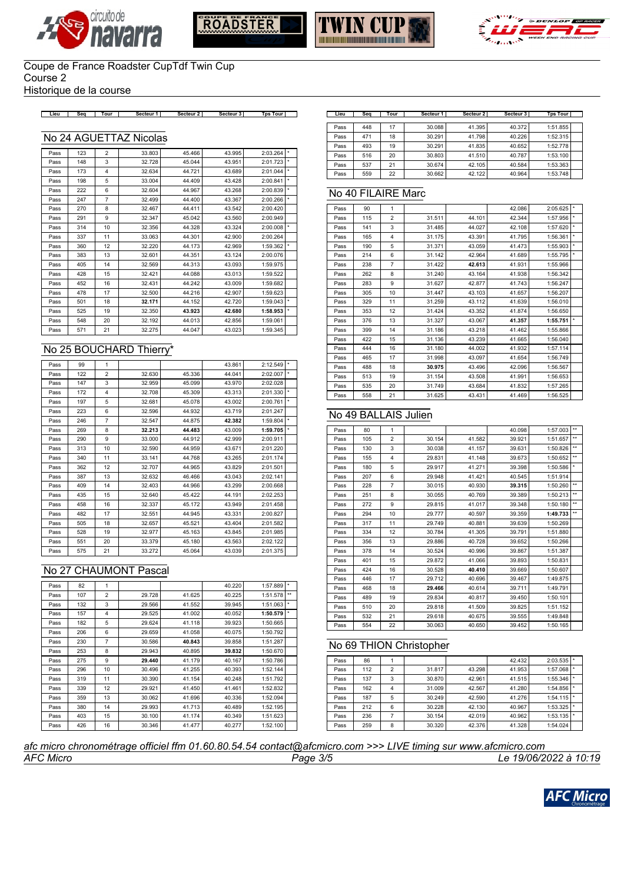







Historique de la course

**Lieu Seq Tour Secteur 1 Secteur 2 Secteur 3 Tps Tour Lieu Seq Tour Secteur 1 Secteur 2 Secteur 3 Tps Tour**

#### No 24 AGUETTAZ Nicolas

| Pass | 123 | $\overline{2}$          | 33.803 | 45.466 | 43.995 | 2:03.264 | $\star$ |
|------|-----|-------------------------|--------|--------|--------|----------|---------|
| Pass | 148 | 3                       | 32.728 | 45.044 | 43.951 | 2:01.723 | $\star$ |
| Pass | 173 | $\overline{\mathbf{4}}$ | 32.634 | 44.721 | 43.689 | 2:01.044 | $\star$ |
| Pass | 198 | 5                       | 33.004 | 44.409 | 43.428 | 2:00.841 | $\star$ |
| Pass | 222 | 6                       | 32.604 | 44.967 | 43.268 | 2:00.839 | $\star$ |
| Pass | 247 | $\overline{7}$          | 32.499 | 44.400 | 43.367 | 2:00.266 | $\star$ |
| Pass | 270 | 8                       | 32.467 | 44.411 | 43.542 | 2:00.420 |         |
| Pass | 291 | 9                       | 32.347 | 45.042 | 43.560 | 2:00.949 |         |
| Pass | 314 | 10                      | 32.356 | 44.328 | 43.324 | 2:00.008 | $\star$ |
| Pass | 337 | 11                      | 33.063 | 44.301 | 42.900 | 2:00.264 |         |
| Pass | 360 | 12                      | 32.220 | 44.173 | 42.969 | 1:59.362 |         |
| Pass | 383 | 13                      | 32.601 | 44.351 | 43.124 | 2:00.076 |         |
| Pass | 405 | 14                      | 32.569 | 44.313 | 43.093 | 1:59.975 |         |
| Pass | 428 | 15                      | 32.421 | 44.088 | 43.013 | 1:59.522 |         |
| Pass | 452 | 16                      | 32.431 | 44.242 | 43.009 | 1:59.682 |         |
| Pass | 478 | 17                      | 32.500 | 44.216 | 42.907 | 1:59.623 |         |
| Pass | 501 | 18                      | 32.171 | 44.152 | 42.720 | 1:59.043 | $\star$ |
| Pass | 525 | 19                      | 32.350 | 43.923 | 42.680 | 1:58.953 | $\star$ |
| Pass | 548 | 20                      | 32.192 | 44.013 | 42.856 | 1:59.061 |         |
| Pass | 571 | 21                      | 32.275 | 44.047 | 43.023 | 1:59.345 |         |
|      |     |                         |        |        |        |          |         |

## No 25 BOUCHARD Thierry\*

| Pass | 99  | 1              |        |        | 43.861 | 2:12.549 | $\star$ |
|------|-----|----------------|--------|--------|--------|----------|---------|
| Pass | 122 | $\overline{2}$ | 32.630 | 45.336 | 44.041 | 2:02.007 | $\star$ |
| Pass | 147 | 3              | 32.959 | 45.099 | 43.970 | 2:02.028 |         |
| Pass | 172 | 4              | 32.708 | 45.309 | 43.313 | 2:01.330 | $\star$ |
| Pass | 197 | 5              | 32.681 | 45.078 | 43.002 | 2:00.761 | $\star$ |
| Pass | 223 | 6              | 32.596 | 44.932 | 43.719 | 2:01.247 |         |
| Pass | 246 | $\overline{7}$ | 32.547 | 44.875 | 42.382 | 1:59.804 | $\star$ |
| Pass | 269 | 8              | 32.213 | 44.483 | 43.009 | 1:59.705 | $\star$ |
| Pass | 290 | 9              | 33,000 | 44.912 | 42.999 | 2:00.911 |         |
| Pass | 313 | 10             | 32.590 | 44.959 | 43.671 | 2:01.220 |         |
| Pass | 340 | 11             | 33.141 | 44.768 | 43.265 | 2:01.174 |         |
| Pass | 362 | 12             | 32.707 | 44.965 | 43.829 | 2:01.501 |         |
| Pass | 387 | 13             | 32.632 | 46.466 | 43.043 | 2:02.141 |         |
| Pass | 409 | 14             | 32.403 | 44.966 | 43.299 | 2:00.668 |         |
| Pass | 435 | 15             | 32.640 | 45.422 | 44.191 | 2:02.253 |         |
| Pass | 458 | 16             | 32.337 | 45.172 | 43.949 | 2:01.458 |         |
| Pass | 482 | 17             | 32.551 | 44.945 | 43.331 | 2:00.827 |         |
| Pass | 505 | 18             | 32.657 | 45.521 | 43.404 | 2:01.582 |         |
| Pass | 528 | 19             | 32.977 | 45.163 | 43.845 | 2:01.985 |         |
| Pass | 551 | 20             | 33.379 | 45.180 | 43.563 | 2:02.122 |         |
| Pass | 575 | 21             | 33.272 | 45.064 | 43.039 | 2:01.375 |         |

### No 27 CHAUMONT Pascal

| Pass | 82  | 1              |        |        | 40.220 | 1:57.889 |              |
|------|-----|----------------|--------|--------|--------|----------|--------------|
| Pass | 107 | $\overline{2}$ | 29.728 | 41.625 | 40.225 | 1:51.578 | $\star\star$ |
| Pass | 132 | 3              | 29.566 | 41.552 | 39.945 | 1:51.063 | $\star$      |
| Pass | 157 | $\overline{4}$ | 29.525 | 41.002 | 40.052 | 1:50.579 | $\star$      |
| Pass | 182 | 5              | 29.624 | 41.118 | 39.923 | 1:50.665 |              |
| Pass | 206 | 6              | 29.659 | 41.058 | 40.075 | 1:50.792 |              |
| Pass | 230 | 7              | 30.586 | 40.843 | 39.858 | 1:51.287 |              |
| Pass | 253 | 8              | 29.943 | 40.895 | 39.832 | 1:50.670 |              |
| Pass | 275 | 9              | 29.440 | 41.179 | 40.167 | 1:50.786 |              |
| Pass | 296 | 10             | 30.496 | 41.255 | 40.393 | 1:52.144 |              |
| Pass | 319 | 11             | 30.390 | 41.154 | 40.248 | 1:51.792 |              |
| Pass | 339 | 12             | 29.921 | 41.450 | 41.461 | 1:52.832 |              |
| Pass | 359 | 13             | 30.062 | 41.696 | 40.336 | 1:52.094 |              |
| Pass | 380 | 14             | 29.993 | 41.713 | 40.489 | 1:52.195 |              |
| Pass | 403 | 15             | 30.100 | 41.174 | 40.349 | 1:51.623 |              |
| Pass | 426 | 16             | 30.346 | 41.477 | 40.277 | 1:52.100 |              |

| Lieu | Seq | Tour | Secteur <sub>1</sub> | Secteur 2 | Secteur 3 | <b>Tps Tour</b> |  |
|------|-----|------|----------------------|-----------|-----------|-----------------|--|
|      |     |      |                      |           |           |                 |  |
| Pass | 448 | 17   | 30.088               | 41.395    | 40.372    | 1:51.855        |  |
| Pass | 471 | 18   | 30.291               | 41.798    | 40.226    | 1:52.315        |  |
| Pass | 493 | 19   | 30.291               | 41.835    | 40.652    | 1:52.778        |  |
| Pass | 516 | 20   | 30.803               | 41.510    | 40.787    | 1:53.100        |  |
| Pass | 537 | 21   | 30.674               | 42.105    | 40.584    | 1:53.363        |  |
| Pass | 559 | 22   | 30.662               | 42.122    | 40.964    | 1:53.748        |  |

## No 40 FILAIRE Marc

| Pass | 90  | $\mathbf{1}$   |        |        | 42.086 | 2:05.625 | $\star$ |
|------|-----|----------------|--------|--------|--------|----------|---------|
| Pass | 115 | $\overline{2}$ | 31.511 | 44.101 | 42.344 | 1:57.956 |         |
| Pass | 141 | 3              | 31.485 | 44.027 | 42.108 | 1:57.620 | ×.      |
| Pass | 165 | 4              | 31.175 | 43.391 | 41.795 | 1:56.361 | ×       |
| Pass | 190 | 5              | 31.371 | 43.059 | 41.473 | 1:55.903 | $\star$ |
| Pass | 214 | 6              | 31.142 | 42.964 | 41.689 | 1:55.795 |         |
| Pass | 238 | $\overline{7}$ | 31.422 | 42.613 | 41.931 | 1:55.966 |         |
| Pass | 262 | 8              | 31.240 | 43.164 | 41.938 | 1:56.342 |         |
| Pass | 283 | 9              | 31.627 | 42.877 | 41.743 | 1:56.247 |         |
| Pass | 305 | 10             | 31.447 | 43.103 | 41.657 | 1:56.207 |         |
| Pass | 329 | 11             | 31.259 | 43.112 | 41.639 | 1:56.010 |         |
| Pass | 353 | 12             | 31.424 | 43.352 | 41.874 | 1:56.650 |         |
| Pass | 376 | 13             | 31.327 | 43.067 | 41.357 | 1:55.751 |         |
| Pass | 399 | 14             | 31.186 | 43.218 | 41.462 | 1:55.866 |         |
| Pass | 422 | 15             | 31.136 | 43.239 | 41.665 | 1:56.040 |         |
| Pass | 444 | 16             | 31.180 | 44.002 | 41.932 | 1:57.114 |         |
| Pass | 465 | 17             | 31.998 | 43.097 | 41.654 | 1:56.749 |         |
| Pass | 488 | 18             | 30.975 | 43.496 | 42.096 | 1:56.567 |         |
| Pass | 513 | 19             | 31.154 | 43.508 | 41.991 | 1:56.653 |         |
| Pass | 535 | 20             | 31.749 | 43.684 | 41.832 | 1:57.265 |         |
| Pass | 558 | 21             | 31.625 | 43.431 | 41.469 | 1:56.525 |         |

#### No 49 BALLAIS Julien

| Pass | 80  | 1                       |        |        | 40.098 | 1:57.003 | $\star\star$ |
|------|-----|-------------------------|--------|--------|--------|----------|--------------|
| Pass | 105 | $\overline{2}$          | 30.154 | 41.582 | 39.921 | 1:51.657 | $\star\star$ |
| Pass | 130 | 3                       | 30.038 | 41.157 | 39.631 | 1:50.826 | $\star\star$ |
| Pass | 155 | $\overline{\mathbf{4}}$ | 29.831 | 41.148 | 39.673 | 1:50.652 | $\star\star$ |
| Pass | 180 | 5                       | 29.917 | 41.271 | 39.398 | 1:50.586 | ×            |
| Pass | 207 | 6                       | 29.948 | 41.421 | 40.545 | 1:51.914 |              |
| Pass | 228 | $\overline{7}$          | 30.015 | 40.930 | 39.315 | 1:50.260 | $\star\star$ |
| Pass | 251 | 8                       | 30.055 | 40.769 | 39.389 | 1:50.213 | $\star\star$ |
| Pass | 272 | 9                       | 29.815 | 41.017 | 39.348 | 1:50.180 | $\star\star$ |
| Pass | 294 | 10                      | 29.777 | 40.597 | 39.359 | 1:49.733 | $\star\star$ |
| Pass | 317 | 11                      | 29.749 | 40.881 | 39.639 | 1:50.269 |              |
| Pass | 334 | 12                      | 30.784 | 41.305 | 39.791 | 1:51.880 |              |
| Pass | 356 | 13                      | 29.886 | 40.728 | 39.652 | 1:50.266 |              |
| Pass | 378 | 14                      | 30.524 | 40.996 | 39.867 | 1:51.387 |              |
| Pass | 401 | 15                      | 29.872 | 41.066 | 39.893 | 1:50.831 |              |
| Pass | 424 | 16                      | 30.528 | 40.410 | 39.669 | 1:50.607 |              |
| Pass | 446 | 17                      | 29.712 | 40.696 | 39.467 | 1:49.875 |              |
| Pass | 468 | 18                      | 29.466 | 40.614 | 39.711 | 1:49.791 |              |
| Pass | 489 | 19                      | 29.834 | 40.817 | 39.450 | 1:50.101 |              |
| Pass | 510 | 20                      | 29.818 | 41.509 | 39.825 | 1:51.152 |              |
| Pass | 532 | 21                      | 29.618 | 40.675 | 39.555 | 1:49.848 |              |
| Pass | 554 | 22                      | 30.063 | 40.650 | 39.452 | 1:50.165 |              |

### No 69 THION Christopher

| Pass | 86  |                |        |        | 42.432 | 2:03.535 | $\star$ |
|------|-----|----------------|--------|--------|--------|----------|---------|
| Pass | 112 | $\overline{2}$ | 31.817 | 43.298 | 41.953 | 1:57.068 | ×       |
| Pass | 137 | 3              | 30.870 | 42.961 | 41.515 | 1:55.346 | ×       |
| Pass | 162 | 4              | 31.009 | 42.567 | 41.280 | 1:54.856 | ÷.      |
| Pass | 187 | 5              | 30.249 | 42.590 | 41.276 | 1:54.115 | $\star$ |
| Pass | 212 | 6              | 30.228 | 42.130 | 40.967 | 1:53.325 | ×       |
| Pass | 236 |                | 30.154 | 42.019 | 40.962 | 1:53.135 | $\star$ |
| Pass | 259 | 8              | 30.320 | 42.376 | 41.328 | 1:54.024 |         |

*AFC Micro Page 3/5 Le 19/06/2022 à 10:19 afc micro chronométrage officiel ffm 01.60.80.54.54 contact@afcmicro.com >>> LIVE timing sur www.afcmicro.com*

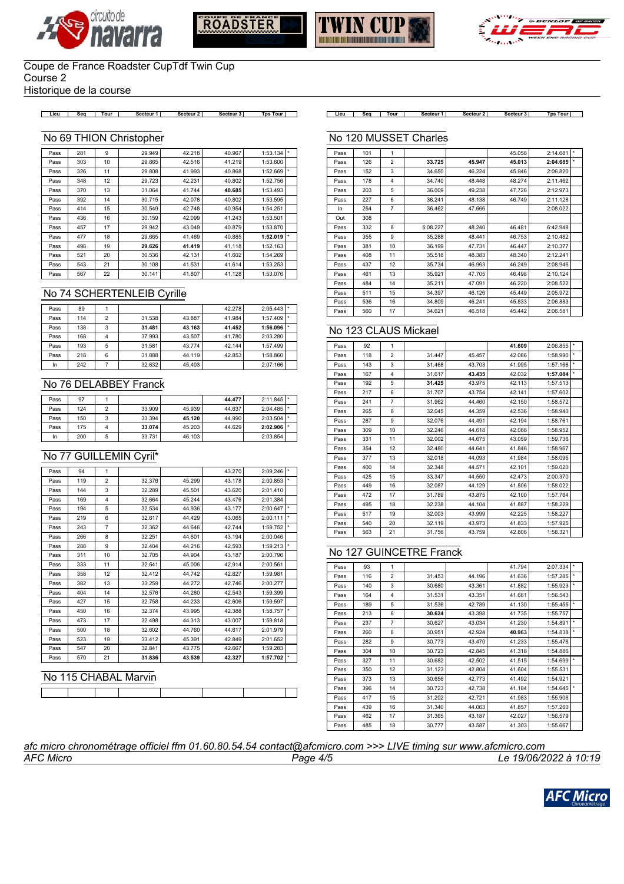







Historique de la course

**Lieu Seq Tour Secteur 1 Secteur 2 Secteur 3 Tps Tour Lieu Seq Tour Secteur 1 Secteur 2 Secteur 3 Tps Tour**

#### No 69 THION Christopher

| Pass | 281 | 9  | 29.949 | 42.218 | 40.967 | 1:53.134 | $\star$ |
|------|-----|----|--------|--------|--------|----------|---------|
| Pass | 303 | 10 | 29.865 | 42.516 | 41.219 | 1:53.600 |         |
| Pass | 326 | 11 | 29.808 | 41.993 | 40.868 | 1:52.669 | $\star$ |
| Pass | 348 | 12 | 29.723 | 42.231 | 40.802 | 1:52.756 |         |
| Pass | 370 | 13 | 31.064 | 41.744 | 40.685 | 1:53.493 |         |
| Pass | 392 | 14 | 30.715 | 42.078 | 40.802 | 1:53.595 |         |
| Pass | 414 | 15 | 30.549 | 42.748 | 40.954 | 1:54.251 |         |
| Pass | 436 | 16 | 30.159 | 42.099 | 41.243 | 1:53.501 |         |
| Pass | 457 | 17 | 29.942 | 43.049 | 40.879 | 1:53.870 |         |
| Pass | 477 | 18 | 29.665 | 41.469 | 40.885 | 1:52.019 |         |
| Pass | 498 | 19 | 29.626 | 41.419 | 41.118 | 1:52.163 |         |
| Pass | 521 | 20 | 30.536 | 42.131 | 41.602 | 1:54.269 |         |
| Pass | 543 | 21 | 30.108 | 41.531 | 41.614 | 1:53.253 |         |
| Pass | 567 | 22 | 30.141 | 41.807 | 41.128 | 1:53.076 |         |

## No 74 SCHERTENLEIB Cyrille

| Pass | 89  |   |        |        | 42.278 | $2:05.443$ *  |  |
|------|-----|---|--------|--------|--------|---------------|--|
| Pass | 114 | 2 | 31.538 | 43.887 | 41.984 | $1:57.409$  * |  |
| Pass | 138 | 3 | 31.481 | 43.163 | 41.452 | 1:56.096      |  |
| Pass | 168 |   | 37.993 | 43.507 | 41.780 | 2:03.280      |  |
| Pass | 193 | 5 | 31.581 | 43.774 | 42.144 | 1:57.499      |  |
| Pass | 218 | 6 | 31.888 | 44.119 | 42.853 | 1:58.860      |  |
| In   | 242 |   | 32.632 | 45.403 |        | 2:07.166      |  |

#### No 76 DELABBEY Franck

| Pass | 97  |   |        |        | 44.477 | $2:11.845$  *           |  |
|------|-----|---|--------|--------|--------|-------------------------|--|
| Pass | 124 |   | 33,909 | 45.939 | 44.637 | $2:04.485$ <sup>*</sup> |  |
| Pass | 150 |   | 33.394 | 45.120 | 44.990 | $2:03.504$  *           |  |
| Pass | 175 | л | 33.074 | 45.203 | 44.629 | $2:02.906$  *           |  |
| In   | 200 |   | 33.731 | 46.103 |        | 2:03.854                |  |

### No 77 GUILLEMIN Cyril\*

| Pass | 94  | 1              |        |        | 43.270 | 2:09.246 |            |
|------|-----|----------------|--------|--------|--------|----------|------------|
| Pass | 119 | $\overline{2}$ | 32.376 | 45.299 | 43.178 | 2:00.853 | *          |
| Pass | 144 | 3              | 32.289 | 45.501 | 43.620 | 2:01.410 |            |
| Pass | 169 | 4              | 32.664 | 45.244 | 43.476 | 2:01.384 |            |
| Pass | 194 | 5              | 32.534 | 44.936 | 43.177 | 2:00.647 |            |
| Pass | 219 | 6              | 32.617 | 44.429 | 43.065 | 2:00.111 | $\star$    |
| Pass | 243 | $\overline{7}$ | 32.362 | 44.646 | 42.744 | 1:59.752 |            |
| Pass | 266 | 8              | 32.251 | 44.601 | 43.194 | 2:00.046 |            |
| Pass | 288 | 9              | 32.404 | 44.216 | 42.593 | 1:59.213 | $^{\star}$ |
| Pass | 311 | 10             | 32.705 | 44.904 | 43.187 | 2:00.796 |            |
| Pass | 333 | 11             | 32.641 | 45.006 | 42.914 | 2:00.561 |            |
| Pass | 358 | 12             | 32.412 | 44.742 | 42.827 | 1:59.981 |            |
| Pass | 382 | 13             | 33.259 | 44.272 | 42.746 | 2:00.277 |            |
| Pass | 404 | 14             | 32.576 | 44.280 | 42.543 | 1:59.399 |            |
| Pass | 427 | 15             | 32.758 | 44.233 | 42.606 | 1:59.597 |            |
| Pass | 450 | 16             | 32.374 | 43.995 | 42.388 | 1:58.757 |            |
| Pass | 473 | 17             | 32.498 | 44.313 | 43.007 | 1:59.818 |            |
| Pass | 500 | 18             | 32.602 | 44.760 | 44.617 | 2:01.979 |            |
| Pass | 523 | 19             | 33.412 | 45.391 | 42.849 | 2:01.652 |            |
| Pass | 547 | 20             | 32.841 | 43.775 | 42.667 | 1:59.283 |            |
| Pass | 570 | 21             | 31.836 | 43.539 | 42.327 | 1:57.702 |            |

# No 115 CHABAL Marvin

## No 120 MUSSET Charles

| Pass | 101 | 1              |          |        | 45.058 | 2:14.681 |   |
|------|-----|----------------|----------|--------|--------|----------|---|
| Pass | 126 | $\overline{2}$ | 33.725   | 45.947 | 45.013 | 2:04.685 | ÷ |
| Pass | 152 | 3              | 34.650   | 46.224 | 45.946 | 2:06.820 |   |
| Pass | 178 | 4              | 34.740   | 48.448 | 48.274 | 2:11.462 |   |
| Pass | 203 | 5              | 36,009   | 49.238 | 47.726 | 2:12.973 |   |
| Pass | 227 | 6              | 36.241   | 48.138 | 46.749 | 2:11.128 |   |
| In   | 254 | $\overline{7}$ | 36.462   | 47.666 |        | 2:08.022 |   |
| Out  | 308 |                |          |        |        |          |   |
| Pass | 332 | 8              | 5:08.227 | 48.240 | 46.481 | 6:42.948 |   |
| Pass | 355 | 9              | 35.288   | 48.441 | 46.753 | 2:10.482 |   |
| Pass | 381 | 10             | 36.199   | 47.731 | 46.447 | 2:10.377 |   |
| Pass | 408 | 11             | 35.518   | 48.383 | 48.340 | 2:12.241 |   |
| Pass | 437 | 12             | 35.734   | 46.963 | 46.249 | 2:08.946 |   |
| Pass | 461 | 13             | 35.921   | 47.705 | 46.498 | 2:10.124 |   |
| Pass | 484 | 14             | 35.211   | 47.091 | 46.220 | 2:08.522 |   |
| Pass | 511 | 15             | 34.397   | 46.126 | 45.449 | 2:05.972 |   |
| Pass | 536 | 16             | 34.809   | 46.241 | 45.833 | 2:06.883 |   |
| Pass | 560 | 17             | 34.621   | 46.518 | 45.442 | 2:06.581 |   |

### No 123 CLAUS Mickael

| Pass | 92  | 1                       |        |        | 41.609 | 2:06.855 |    |
|------|-----|-------------------------|--------|--------|--------|----------|----|
| Pass | 118 | $\overline{2}$          | 31.447 | 45.457 | 42.086 | 1:58.990 | ×  |
| Pass | 143 | 3                       | 31.468 | 43.703 | 41.995 | 1:57.166 | ×  |
| Pass | 167 | $\overline{\mathbf{4}}$ | 31.617 | 43.435 | 42.032 | 1:57.084 | ×. |
| Pass | 192 | 5                       | 31.425 | 43.975 | 42.113 | 1:57.513 |    |
| Pass | 217 | 6                       | 31.707 | 43.754 | 42.141 | 1:57.602 |    |
| Pass | 241 | $\overline{7}$          | 31.962 | 44.460 | 42.150 | 1:58.572 |    |
| Pass | 265 | 8                       | 32.045 | 44.359 | 42.536 | 1:58.940 |    |
| Pass | 287 | 9                       | 32.076 | 44.491 | 42.194 | 1:58.761 |    |
| Pass | 309 | 10                      | 32.246 | 44.618 | 42.088 | 1:58.952 |    |
| Pass | 331 | 11                      | 32.002 | 44.675 | 43.059 | 1:59.736 |    |
| Pass | 354 | 12                      | 32.480 | 44.641 | 41.846 | 1:58.967 |    |
| Pass | 377 | 13                      | 32.018 | 44.093 | 41.984 | 1:58.095 |    |
| Pass | 400 | 14                      | 32.348 | 44.571 | 42.101 | 1:59.020 |    |
| Pass | 425 | 15                      | 33.347 | 44.550 | 42.473 | 2:00.370 |    |
| Pass | 449 | 16                      | 32.087 | 44.129 | 41.806 | 1:58.022 |    |
| Pass | 472 | 17                      | 31.789 | 43.875 | 42.100 | 1:57.764 |    |
| Pass | 495 | 18                      | 32.238 | 44.104 | 41.887 | 1:58.229 |    |
| Pass | 517 | 19                      | 32.003 | 43.999 | 42.225 | 1:58.227 |    |
| Pass | 540 | 20                      | 32.119 | 43.973 | 41.833 | 1:57.925 |    |
| Pass | 563 | 21                      | 31.756 | 43.759 | 42.806 | 1:58.321 |    |

### No 127 GUINCETRE Franck

| Pass | 93  | 1              |        |        | 41.794 | 2:07.334 |         |
|------|-----|----------------|--------|--------|--------|----------|---------|
| Pass | 116 | $\overline{2}$ | 31.453 | 44.196 | 41.636 | 1:57.285 | $\star$ |
| Pass | 140 | 3              | 30.680 | 43.361 | 41.882 | 1:55.923 | ×       |
| Pass | 164 | 4              | 31.531 | 43.351 | 41.661 | 1:56.543 |         |
| Pass | 189 | 5              | 31.536 | 42.789 | 41.130 | 1:55.455 | ×       |
| Pass | 213 | 6              | 30.624 | 43.398 | 41.735 | 1:55.757 |         |
| Pass | 237 | $\overline{7}$ | 30.627 | 43.034 | 41.230 | 1:54.891 | ×       |
| Pass | 260 | 8              | 30.951 | 42.924 | 40.963 | 1:54.838 | ÷.      |
| Pass | 282 | 9              | 30.773 | 43.470 | 41.233 | 1:55.476 |         |
| Pass | 304 | 10             | 30.723 | 42.845 | 41.318 | 1:54.886 |         |
| Pass | 327 | 11             | 30.682 | 42.502 | 41.515 | 1:54.699 | ×       |
| Pass | 350 | 12             | 31.123 | 42.804 | 41.604 | 1:55.531 |         |
| Pass | 373 | 13             | 30.656 | 42.773 | 41.492 | 1:54.921 |         |
| Pass | 396 | 14             | 30.723 | 42.738 | 41.184 | 1:54.645 | ×       |
| Pass | 417 | 15             | 31.202 | 42.721 | 41.983 | 1:55.906 |         |
| Pass | 439 | 16             | 31.340 | 44.063 | 41.857 | 1:57.260 |         |
| Pass | 462 | 17             | 31.365 | 43.187 | 42.027 | 1:56.579 |         |
| Pass | 485 | 18             | 30.777 | 43.587 | 41.303 | 1:55.667 |         |
|      |     |                |        |        |        |          |         |

*AFC Micro Page 4/5 Le 19/06/2022 à 10:19 afc micro chronométrage officiel ffm 01.60.80.54.54 contact@afcmicro.com >>> LIVE timing sur www.afcmicro.com*

П